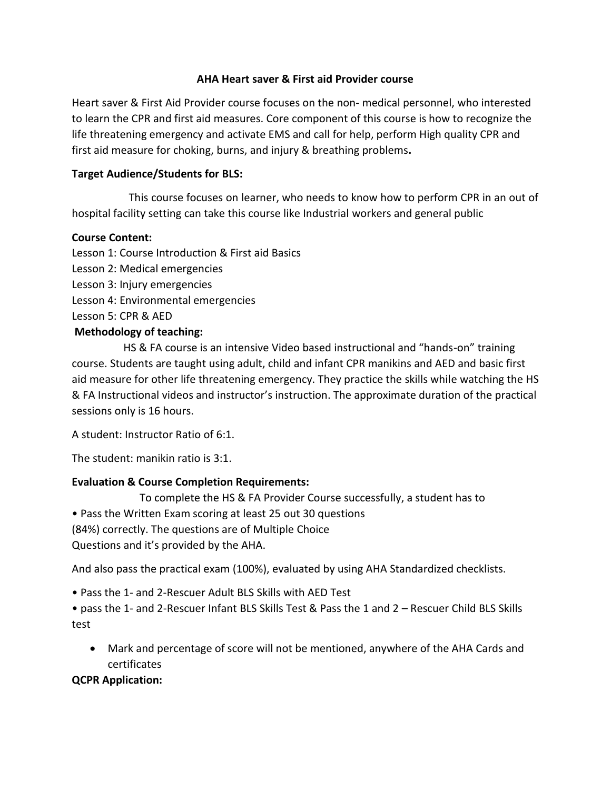### **AHA Heart saver & First aid Provider course**

Heart saver & First Aid Provider course focuses on the non- medical personnel, who interested to learn the CPR and first aid measures. Core component of this course is how to recognize the life threatening emergency and activate EMS and call for help, perform High quality CPR and first aid measure for choking, burns, and injury & breathing problems**.**

### **Target Audience/Students for BLS:**

 This course focuses on learner, who needs to know how to perform CPR in an out of hospital facility setting can take this course like Industrial workers and general public

### **Course Content:**

Lesson 1: Course Introduction & First aid Basics Lesson 2: Medical emergencies Lesson 3: Injury emergencies Lesson 4: Environmental emergencies Lesson 5: CPR & AED

# **Methodology of teaching:**

 HS & FA course is an intensive Video based instructional and "hands-on" training course. Students are taught using adult, child and infant CPR manikins and AED and basic first aid measure for other life threatening emergency. They practice the skills while watching the HS & FA Instructional videos and instructor's instruction. The approximate duration of the practical sessions only is 16 hours.

A student: Instructor Ratio of 6:1.

The student: manikin ratio is 3:1.

## **Evaluation & Course Completion Requirements:**

To complete the HS & FA Provider Course successfully, a student has to

• Pass the Written Exam scoring at least 25 out 30 questions

(84%) correctly. The questions are of Multiple Choice

Questions and it's provided by the AHA.

And also pass the practical exam (100%), evaluated by using AHA Standardized checklists.

• Pass the 1- and 2-Rescuer Adult BLS Skills with AED Test

• pass the 1- and 2-Rescuer Infant BLS Skills Test & Pass the 1 and 2 – Rescuer Child BLS Skills test

 Mark and percentage of score will not be mentioned, anywhere of the AHA Cards and certificates

**QCPR Application:**